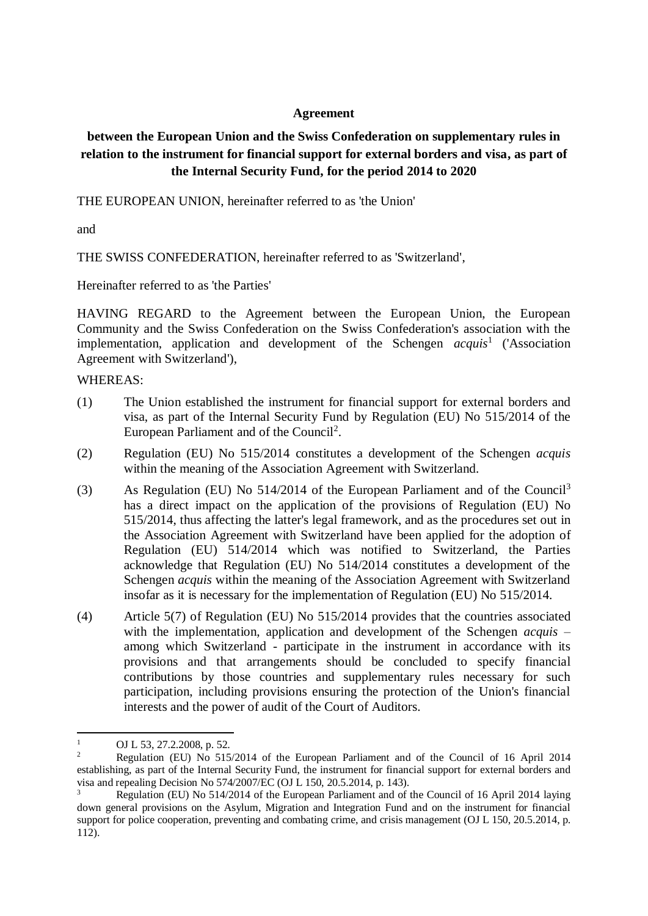# **Agreement**

# **between the European Union and the Swiss Confederation on supplementary rules in relation to the instrument for financial support for external borders and visa, as part of the Internal Security Fund, for the period 2014 to 2020**

THE EUROPEAN UNION, hereinafter referred to as 'the Union'

and

THE SWISS CONFEDERATION, hereinafter referred to as 'Switzerland',

Hereinafter referred to as 'the Parties'

HAVING REGARD to the Agreement between the European Union, the European Community and the Swiss Confederation on the Swiss Confederation's association with the implementation, application and development of the Schengen *acquis*<sup>1</sup> ('Association Agreement with Switzerland'),

WHEREAS:

- (1) The Union established the instrument for financial support for external borders and visa, as part of the Internal Security Fund by Regulation (EU) No 515/2014 of the European Parliament and of the Council<sup>2</sup>.
- (2) Regulation (EU) No 515/2014 constitutes a development of the Schengen *acquis* within the meaning of the Association Agreement with Switzerland.
- (3) As Regulation (EU) No 514/2014 of the European Parliament and of the Council<sup>3</sup> has a direct impact on the application of the provisions of Regulation (EU) No 515/2014, thus affecting the latter's legal framework, and as the procedures set out in the Association Agreement with Switzerland have been applied for the adoption of Regulation (EU) 514/2014 which was notified to Switzerland, the Parties acknowledge that Regulation (EU) No 514/2014 constitutes a development of the Schengen *acquis* within the meaning of the Association Agreement with Switzerland insofar as it is necessary for the implementation of Regulation (EU) No 515/2014.
- (4) Article 5(7) of Regulation (EU) No 515/2014 provides that the countries associated with the implementation, application and development of the Schengen *acquis* – among which Switzerland - participate in the instrument in accordance with its provisions and that arrangements should be concluded to specify financial contributions by those countries and supplementary rules necessary for such participation, including provisions ensuring the protection of the Union's financial interests and the power of audit of the Court of Auditors.

 $\mathbf{1}$ OJ L 53, 27.2.2008, p. 52.

<sup>2</sup> Regulation (EU) No 515/2014 of the European Parliament and of the Council of 16 April 2014 establishing, as part of the Internal Security Fund, the instrument for financial support for external borders and visa and repealing Decision No 574/2007/EC (OJ L 150, 20.5.2014, p. 143).

<sup>3</sup> Regulation (EU) No 514/2014 of the European Parliament and of the Council of 16 April 2014 laying down general provisions on the Asylum, Migration and Integration Fund and on the instrument for financial support for police cooperation, preventing and combating crime, and crisis management (OJ L 150, 20.5.2014, p. 112).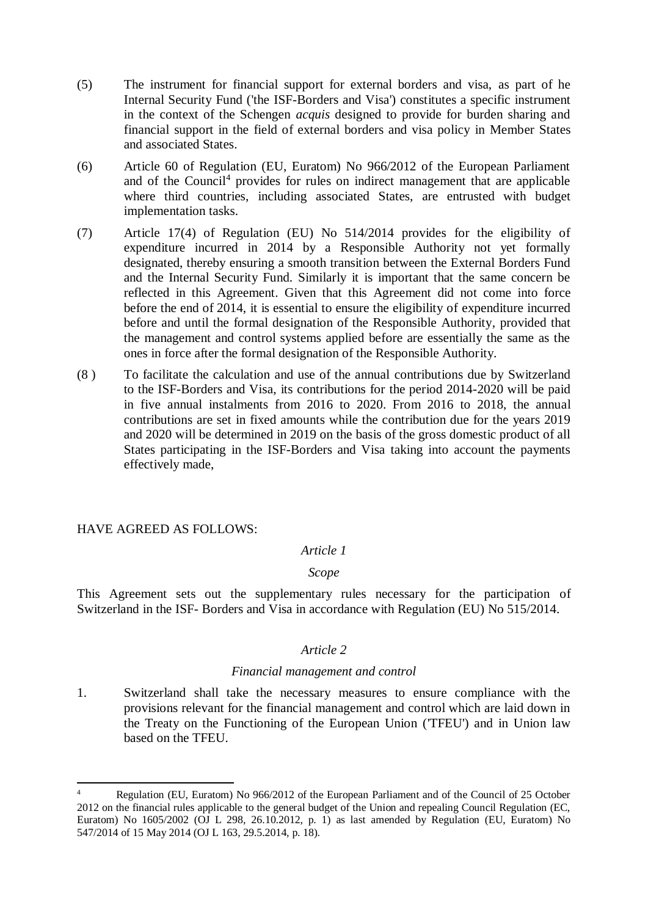- (5) The instrument for financial support for external borders and visa, as part of he Internal Security Fund ('the ISF-Borders and Visa') constitutes a specific instrument in the context of the Schengen *acquis* designed to provide for burden sharing and financial support in the field of external borders and visa policy in Member States and associated States.
- (6) Article 60 of Regulation (EU, Euratom) No 966/2012 of the European Parliament and of the Council<sup>4</sup> provides for rules on indirect management that are applicable where third countries, including associated States, are entrusted with budget implementation tasks.
- (7) Article 17(4) of Regulation (EU) No 514/2014 provides for the eligibility of expenditure incurred in 2014 by a Responsible Authority not yet formally designated, thereby ensuring a smooth transition between the External Borders Fund and the Internal Security Fund. Similarly it is important that the same concern be reflected in this Agreement. Given that this Agreement did not come into force before the end of 2014, it is essential to ensure the eligibility of expenditure incurred before and until the formal designation of the Responsible Authority, provided that the management and control systems applied before are essentially the same as the ones in force after the formal designation of the Responsible Authority.
- (8 ) To facilitate the calculation and use of the annual contributions due by Switzerland to the ISF-Borders and Visa, its contributions for the period 2014-2020 will be paid in five annual instalments from 2016 to 2020. From 2016 to 2018, the annual contributions are set in fixed amounts while the contribution due for the years 2019 and 2020 will be determined in 2019 on the basis of the gross domestic product of all States participating in the ISF-Borders and Visa taking into account the payments effectively made,

# HAVE AGREED AS FOLLOWS:

**.** 

#### *Article 1*

# *Scope*

This Agreement sets out the supplementary rules necessary for the participation of Switzerland in the ISF- Borders and Visa in accordance with Regulation (EU) No 515/2014.

#### *Article 2*

#### *Financial management and control*

1. Switzerland shall take the necessary measures to ensure compliance with the provisions relevant for the financial management and control which are laid down in the Treaty on the Functioning of the European Union ('TFEU') and in Union law based on the TFEU.

<sup>4</sup> Regulation (EU, Euratom) No 966/2012 of the European Parliament and of the Council of 25 October 2012 on the financial rules applicable to the general budget of the Union and repealing Council Regulation (EC, Euratom) No 1605/2002 (OJ L 298, 26.10.2012, p. 1) as last amended by Regulation (EU, Euratom) No 547/2014 of 15 May 2014 (OJ L 163, 29.5.2014, p. 18).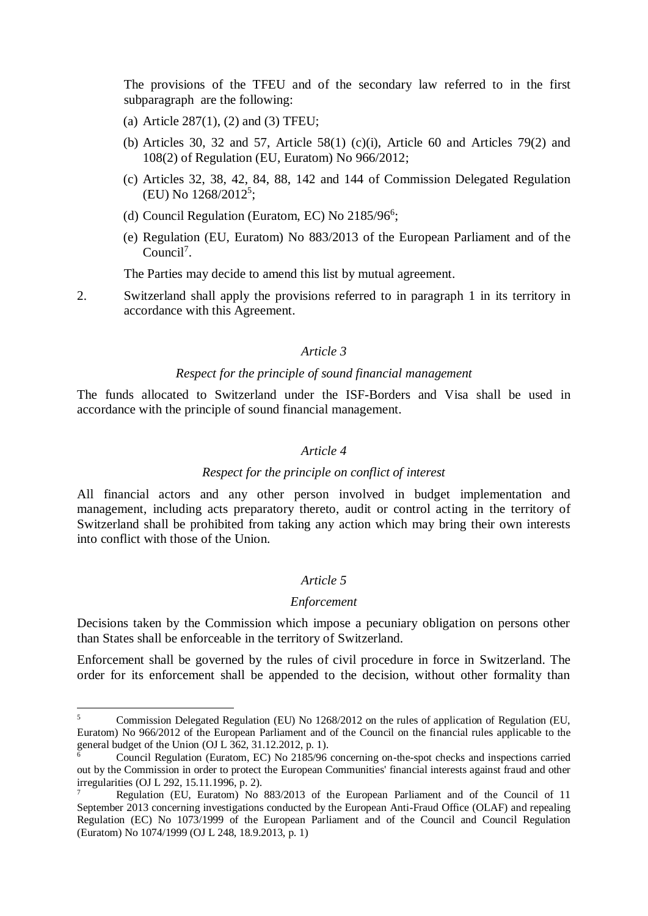The provisions of the TFEU and of the secondary law referred to in the first subparagraph are the following:

- (a) Article 287(1), (2) and (3) TFEU;
- (b) Articles 30, 32 and 57, Article 58(1) (c)(i), Article 60 and Articles 79(2) and 108(2) of Regulation (EU, Euratom) No 966/2012;
- (c) Articles 32, 38, 42, 84, 88, 142 and 144 of Commission Delegated Regulation (EU) No 1268/2012<sup>5</sup>;
- (d) Council Regulation (Euratom, EC) No 2185/96<sup>6</sup>;
- (e) Regulation (EU, Euratom) No 883/2013 of the European Parliament and of the Council<sup>7</sup>.

The Parties may decide to amend this list by mutual agreement.

2. Switzerland shall apply the provisions referred to in paragraph 1 in its territory in accordance with this Agreement.

#### *Article 3*

#### *Respect for the principle of sound financial management*

The funds allocated to Switzerland under the ISF-Borders and Visa shall be used in accordance with the principle of sound financial management.

#### *Article 4*

#### *Respect for the principle on conflict of interest*

All financial actors and any other person involved in budget implementation and management, including acts preparatory thereto, audit or control acting in the territory of Switzerland shall be prohibited from taking any action which may bring their own interests into conflict with those of the Union.

#### *Article 5*

#### *Enforcement*

Decisions taken by the Commission which impose a pecuniary obligation on persons other than States shall be enforceable in the territory of Switzerland.

Enforcement shall be governed by the rules of civil procedure in force in Switzerland. The order for its enforcement shall be appended to the decision, without other formality than

 $\leq$ <sup>5</sup> Commission Delegated Regulation (EU) No 1268/2012 on the rules of application of Regulation (EU, Euratom) No 966/2012 of the European Parliament and of the Council on the financial rules applicable to the general budget of the Union (OJ L 362, 31.12.2012, p. 1).

<sup>6</sup> Council Regulation (Euratom, EC) No 2185/96 concerning on-the-spot checks and inspections carried out by the Commission in order to protect the European Communities' financial interests against fraud and other irregularities (OJ L 292, 15.11.1996, p. 2).

<sup>7</sup> Regulation (EU, Euratom) No 883/2013 of the European Parliament and of the Council of 11 September 2013 concerning investigations conducted by the European Anti-Fraud Office (OLAF) and repealing Regulation (EC) No 1073/1999 of the European Parliament and of the Council and Council Regulation (Euratom) No 1074/1999 (OJ L 248, 18.9.2013, p. 1)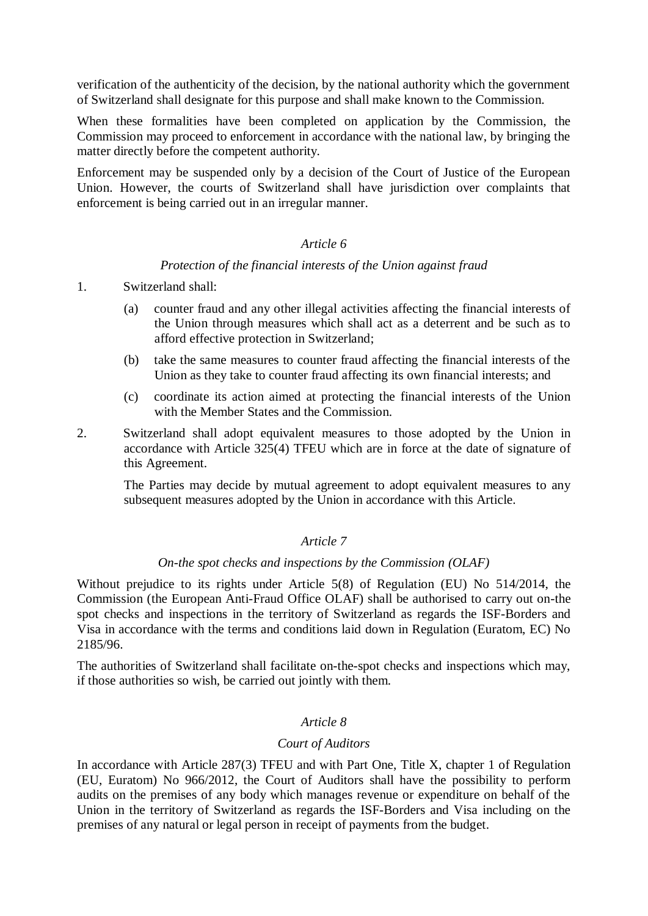verification of the authenticity of the decision, by the national authority which the government of Switzerland shall designate for this purpose and shall make known to the Commission.

When these formalities have been completed on application by the Commission, the Commission may proceed to enforcement in accordance with the national law, by bringing the matter directly before the competent authority.

Enforcement may be suspended only by a decision of the Court of Justice of the European Union. However, the courts of Switzerland shall have jurisdiction over complaints that enforcement is being carried out in an irregular manner.

# *Article 6*

# *Protection of the financial interests of the Union against fraud*

#### 1. Switzerland shall:

- (a) counter fraud and any other illegal activities affecting the financial interests of the Union through measures which shall act as a deterrent and be such as to afford effective protection in Switzerland;
- (b) take the same measures to counter fraud affecting the financial interests of the Union as they take to counter fraud affecting its own financial interests; and
- (c) coordinate its action aimed at protecting the financial interests of the Union with the Member States and the Commission.
- 2. Switzerland shall adopt equivalent measures to those adopted by the Union in accordance with Article 325(4) TFEU which are in force at the date of signature of this Agreement.

The Parties may decide by mutual agreement to adopt equivalent measures to any subsequent measures adopted by the Union in accordance with this Article.

# *Article 7*

#### *On-the spot checks and inspections by the Commission (OLAF)*

Without prejudice to its rights under Article 5(8) of Regulation (EU) No 514/2014, the Commission (the European Anti-Fraud Office OLAF) shall be authorised to carry out on-the spot checks and inspections in the territory of Switzerland as regards the ISF-Borders and Visa in accordance with the terms and conditions laid down in Regulation (Euratom, EC) No 2185/96.

The authorities of Switzerland shall facilitate on-the-spot checks and inspections which may, if those authorities so wish, be carried out jointly with them.

# *Article 8*

# *Court of Auditors*

In accordance with Article 287(3) TFEU and with Part One, Title X, chapter 1 of Regulation (EU, Euratom) No 966/2012, the Court of Auditors shall have the possibility to perform audits on the premises of any body which manages revenue or expenditure on behalf of the Union in the territory of Switzerland as regards the ISF-Borders and Visa including on the premises of any natural or legal person in receipt of payments from the budget.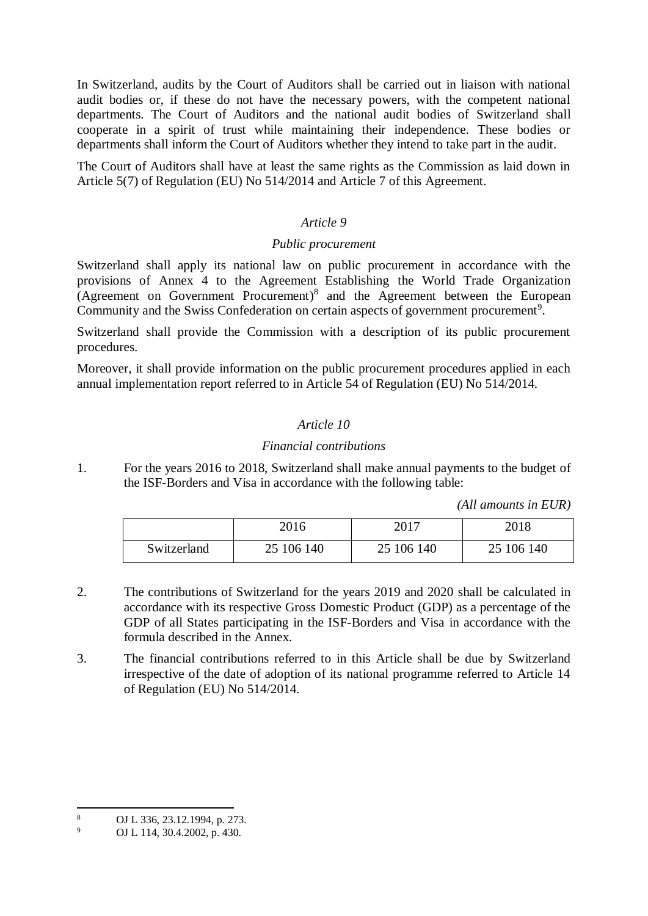In Switzerland, audits by the Court of Auditors shall be carried out in liaison with national audit bodies or, if these do not have the necessary powers, with the competent national departments. The Court of Auditors and the national audit bodies of Switzerland shall cooperate in a spirit of trust while maintaining their independence. These bodies or departments shall inform the Court of Auditors whether they intend to take part in the audit.

The Court of Auditors shall have at least the same rights as the Commission as laid down in Article 5(7) of Regulation (EU) No 514/2014 and Article 7 of this Agreement.

# *Article 9*

# *Public procurement*

Switzerland shall apply its national law on public procurement in accordance with the provisions of Annex 4 to the Agreement Establishing the World Trade Organization (Agreement on Government Procurement) 8 and the Agreement between the European Community and the Swiss Confederation on certain aspects of government procurement<sup>9</sup>.

Switzerland shall provide the Commission with a description of its public procurement procedures.

Moreover, it shall provide information on the public procurement procedures applied in each annual implementation report referred to in Article 54 of Regulation (EU) No 514/2014.

# *Article 10*

# *Financial contributions*

1. For the years 2016 to 2018, Switzerland shall make annual payments to the budget of the ISF-Borders and Visa in accordance with the following table:

*(All amounts in EUR)*

|             | 2016       | 2017       | 2018       |
|-------------|------------|------------|------------|
| Switzerland | 25 106 140 | 25 106 140 | 25 106 140 |

- 2. The contributions of Switzerland for the years 2019 and 2020 shall be calculated in accordance with its respective Gross Domestic Product (GDP) as a percentage of the GDP of all States participating in the ISF-Borders and Visa in accordance with the formula described in the Annex.
- 3. The financial contributions referred to in this Article shall be due by Switzerland irrespective of the date of adoption of its national programme referred to Article 14 of Regulation (EU) No 514/2014.

 $\,8\,$ <sup>8</sup> OJ L 336, 23.12.1994, p. 273.<br><sup>9</sup> OJ L 114, 30.4.2002, p. 430

<sup>9</sup> OJ L 114, 30.4.2002, p. 430.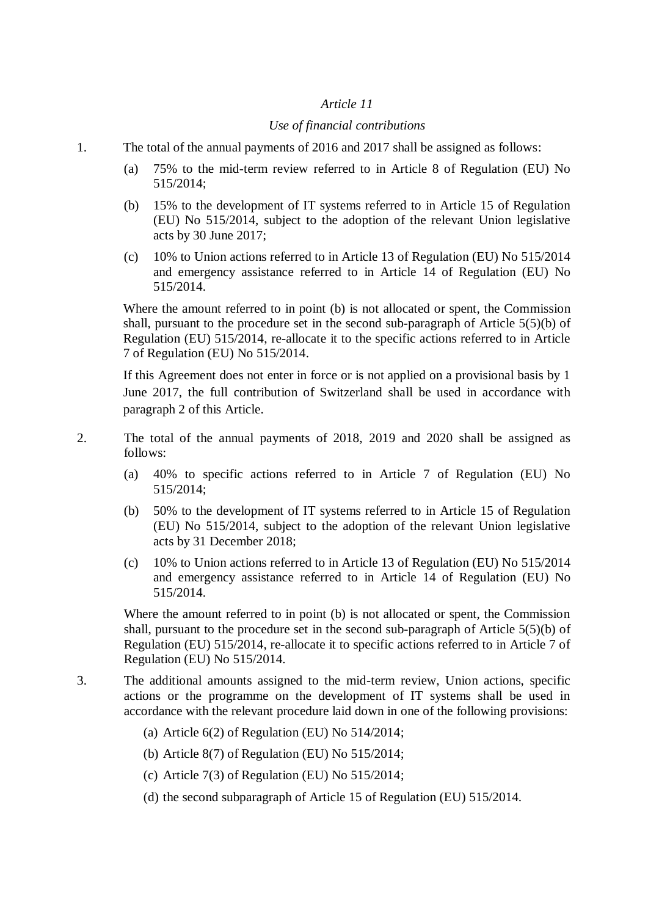#### *Article 11*

#### *Use of financial contributions*

- 1. The total of the annual payments of 2016 and 2017 shall be assigned as follows:
	- (a) 75% to the mid-term review referred to in Article 8 of Regulation (EU) No 515/2014;
	- (b) 15% to the development of IT systems referred to in Article 15 of Regulation (EU) No 515/2014, subject to the adoption of the relevant Union legislative acts by 30 June 2017;
	- (c) 10% to Union actions referred to in Article 13 of Regulation (EU) No 515/2014 and emergency assistance referred to in Article 14 of Regulation (EU) No 515/2014.

Where the amount referred to in point (b) is not allocated or spent, the Commission shall, pursuant to the procedure set in the second sub-paragraph of Article 5(5)(b) of Regulation (EU) 515/2014, re-allocate it to the specific actions referred to in Article 7 of Regulation (EU) No 515/2014.

If this Agreement does not enter in force or is not applied on a provisional basis by 1 June 2017, the full contribution of Switzerland shall be used in accordance with paragraph 2 of this Article.

- 2. The total of the annual payments of 2018, 2019 and 2020 shall be assigned as follows:
	- (a) 40% to specific actions referred to in Article 7 of Regulation (EU) No 515/2014;
	- (b) 50% to the development of IT systems referred to in Article 15 of Regulation (EU) No 515/2014, subject to the adoption of the relevant Union legislative acts by 31 December 2018;
	- (c) 10% to Union actions referred to in Article 13 of Regulation (EU) No 515/2014 and emergency assistance referred to in Article 14 of Regulation (EU) No 515/2014.

Where the amount referred to in point (b) is not allocated or spent, the Commission shall, pursuant to the procedure set in the second sub-paragraph of Article 5(5)(b) of Regulation (EU) 515/2014, re-allocate it to specific actions referred to in Article 7 of Regulation (EU) No 515/2014.

- 3. The additional amounts assigned to the mid-term review, Union actions, specific actions or the programme on the development of IT systems shall be used in accordance with the relevant procedure laid down in one of the following provisions:
	- (a) Article 6(2) of Regulation (EU) No 514/2014;
	- (b) Article 8(7) of Regulation (EU) No 515/2014;
	- (c) Article 7(3) of Regulation (EU) No 515/2014;
	- (d) the second subparagraph of Article 15 of Regulation (EU) 515/2014.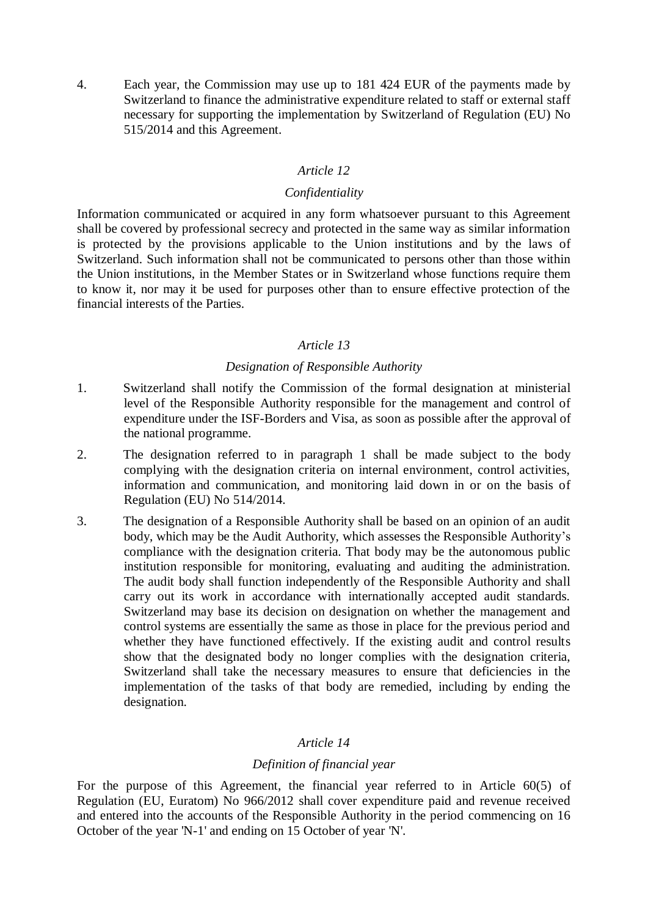4. Each year, the Commission may use up to 181 424 EUR of the payments made by Switzerland to finance the administrative expenditure related to staff or external staff necessary for supporting the implementation by Switzerland of Regulation (EU) No 515/2014 and this Agreement.

# *Article 12*

#### *Confidentiality*

Information communicated or acquired in any form whatsoever pursuant to this Agreement shall be covered by professional secrecy and protected in the same way as similar information is protected by the provisions applicable to the Union institutions and by the laws of Switzerland. Such information shall not be communicated to persons other than those within the Union institutions, in the Member States or in Switzerland whose functions require them to know it, nor may it be used for purposes other than to ensure effective protection of the financial interests of the Parties.

# *Article 13*

#### *Designation of Responsible Authority*

- 1. Switzerland shall notify the Commission of the formal designation at ministerial level of the Responsible Authority responsible for the management and control of expenditure under the ISF-Borders and Visa, as soon as possible after the approval of the national programme.
- 2. The designation referred to in paragraph 1 shall be made subject to the body complying with the designation criteria on internal environment, control activities, information and communication, and monitoring laid down in or on the basis of Regulation (EU) No 514/2014.
- 3. The designation of a Responsible Authority shall be based on an opinion of an audit body, which may be the Audit Authority, which assesses the Responsible Authority's compliance with the designation criteria. That body may be the autonomous public institution responsible for monitoring, evaluating and auditing the administration. The audit body shall function independently of the Responsible Authority and shall carry out its work in accordance with internationally accepted audit standards. Switzerland may base its decision on designation on whether the management and control systems are essentially the same as those in place for the previous period and whether they have functioned effectively. If the existing audit and control results show that the designated body no longer complies with the designation criteria, Switzerland shall take the necessary measures to ensure that deficiencies in the implementation of the tasks of that body are remedied, including by ending the designation.

# *Article 14*

# *Definition of financial year*

For the purpose of this Agreement, the financial year referred to in Article 60(5) of Regulation (EU, Euratom) No 966/2012 shall cover expenditure paid and revenue received and entered into the accounts of the Responsible Authority in the period commencing on 16 October of the year 'N-1' and ending on 15 October of year 'N'.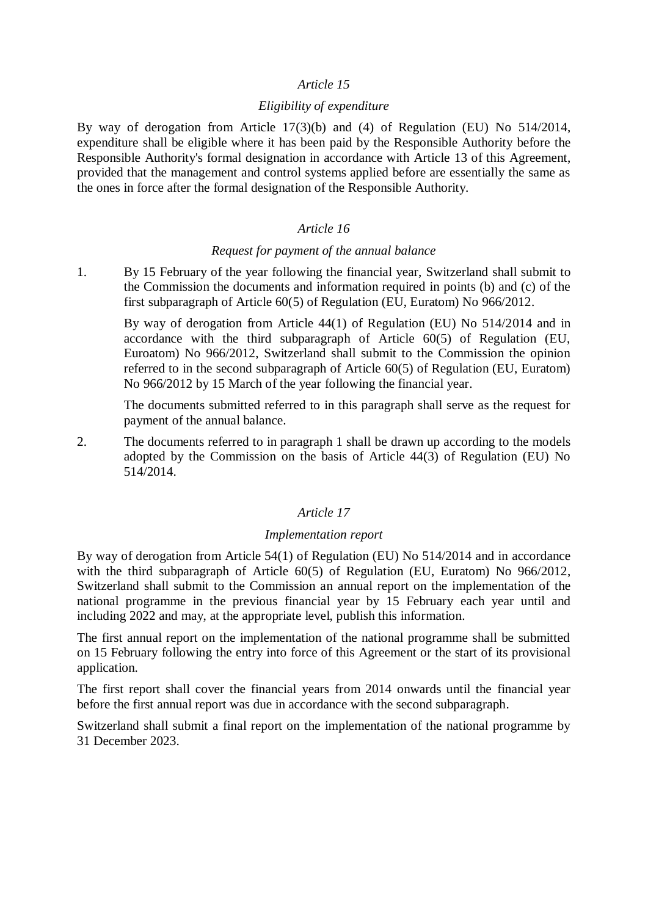# *Article 15*

# *Eligibility of expenditure*

By way of derogation from Article 17(3)(b) and (4) of Regulation (EU) No 514/2014, expenditure shall be eligible where it has been paid by the Responsible Authority before the Responsible Authority's formal designation in accordance with Article 13 of this Agreement, provided that the management and control systems applied before are essentially the same as the ones in force after the formal designation of the Responsible Authority.

# *Article 16*

# *Request for payment of the annual balance*

1. By 15 February of the year following the financial year, Switzerland shall submit to the Commission the documents and information required in points (b) and (c) of the first subparagraph of Article 60(5) of Regulation (EU, Euratom) No 966/2012.

By way of derogation from Article 44(1) of Regulation (EU) No 514/2014 and in accordance with the third subparagraph of Article 60(5) of Regulation (EU, Euroatom) No 966/2012, Switzerland shall submit to the Commission the opinion referred to in the second subparagraph of Article 60(5) of Regulation (EU, Euratom) No 966/2012 by 15 March of the year following the financial year.

The documents submitted referred to in this paragraph shall serve as the request for payment of the annual balance.

2. The documents referred to in paragraph 1 shall be drawn up according to the models adopted by the Commission on the basis of Article 44(3) of Regulation (EU) No 514/2014.

# *Article 17*

# *Implementation report*

By way of derogation from Article 54(1) of Regulation (EU) No 514/2014 and in accordance with the third subparagraph of Article 60(5) of Regulation (EU, Euratom) No 966/2012, Switzerland shall submit to the Commission an annual report on the implementation of the national programme in the previous financial year by 15 February each year until and including 2022 and may, at the appropriate level, publish this information.

The first annual report on the implementation of the national programme shall be submitted on 15 February following the entry into force of this Agreement or the start of its provisional application.

The first report shall cover the financial years from 2014 onwards until the financial year before the first annual report was due in accordance with the second subparagraph.

Switzerland shall submit a final report on the implementation of the national programme by 31 December 2023.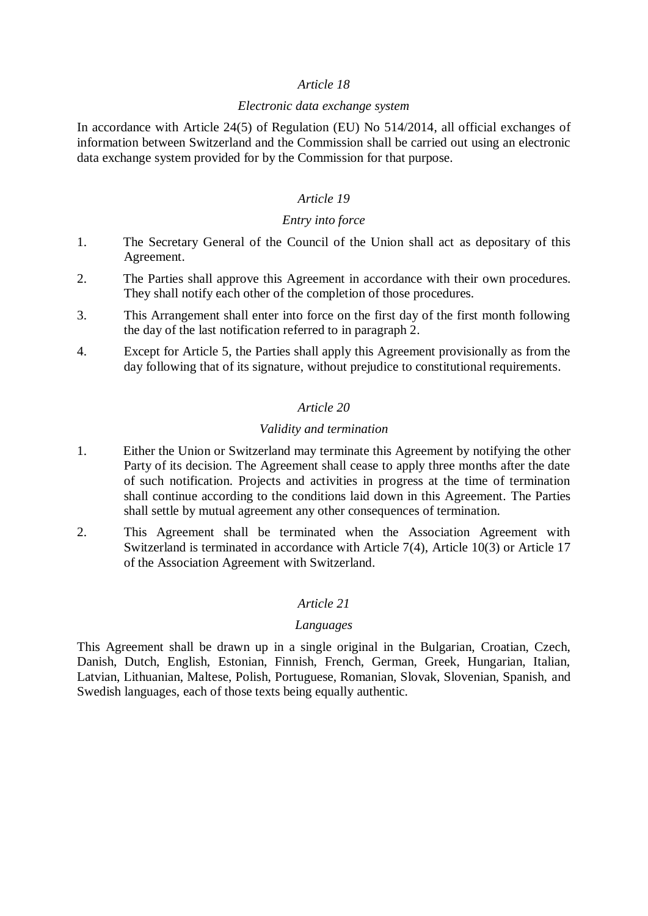## *Article 18*

#### *Electronic data exchange system*

In accordance with Article 24(5) of Regulation (EU) No 514/2014, all official exchanges of information between Switzerland and the Commission shall be carried out using an electronic data exchange system provided for by the Commission for that purpose.

# *Article 19*

#### *Entry into force*

- 1. The Secretary General of the Council of the Union shall act as depositary of this Agreement.
- 2. The Parties shall approve this Agreement in accordance with their own procedures. They shall notify each other of the completion of those procedures.
- 3. This Arrangement shall enter into force on the first day of the first month following the day of the last notification referred to in paragraph 2.
- 4. Except for Article 5, the Parties shall apply this Agreement provisionally as from the day following that of its signature, without prejudice to constitutional requirements.

# *Article 20*

# *Validity and termination*

- 1. Either the Union or Switzerland may terminate this Agreement by notifying the other Party of its decision. The Agreement shall cease to apply three months after the date of such notification. Projects and activities in progress at the time of termination shall continue according to the conditions laid down in this Agreement. The Parties shall settle by mutual agreement any other consequences of termination.
- 2. This Agreement shall be terminated when the Association Agreement with Switzerland is terminated in accordance with Article 7(4), Article 10(3) or Article 17 of the Association Agreement with Switzerland.

# *Article 21*

# *Languages*

This Agreement shall be drawn up in a single original in the Bulgarian, Croatian, Czech, Danish, Dutch, English, Estonian, Finnish, French, German, Greek, Hungarian, Italian, Latvian, Lithuanian, Maltese, Polish, Portuguese, Romanian, Slovak, Slovenian, Spanish, and Swedish languages, each of those texts being equally authentic.